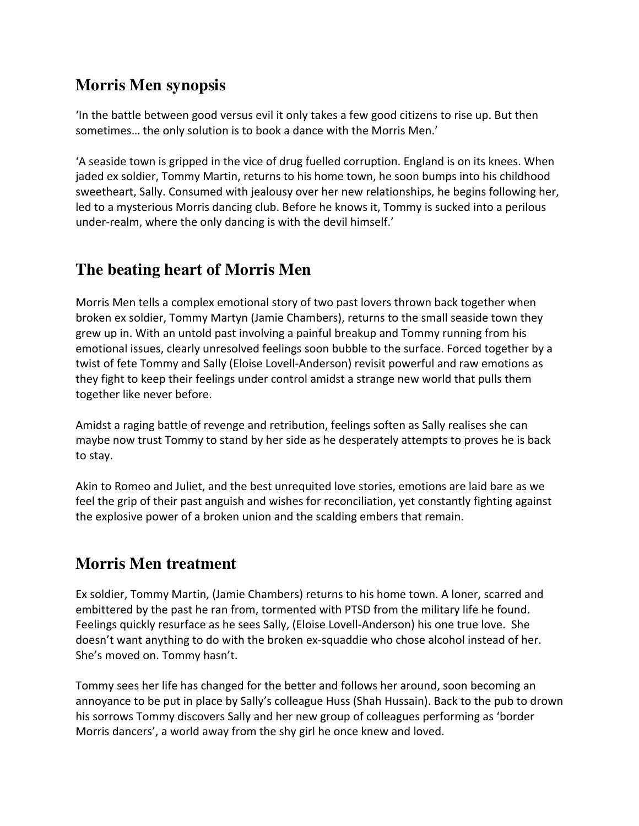## **Morris Men synopsis**

'In the battle between good versus evil it only takes a few good citizens to rise up. But then sometimes... the only solution is to book a dance with the Morris Men.'

'A seaside town is gripped in the vice of drug fuelled corruption. England is on its knees. When jaded ex soldier, Tommy Martin, returns to his home town, he soon bumps into his childhood sweetheart, Sally. Consumed with jealousy over her new relationships, he begins following her, led to a mysterious Morris dancing club. Before he knows it, Tommy is sucked into a perilous under-realm, where the only dancing is with the devil himself.'

## **The beating heart of Morris Men**

Morris Men tells a complex emotional story of two past lovers thrown back together when broken ex soldier, Tommy Martyn (Jamie Chambers), returns to the small seaside town they grew up in. With an untold past involving a painful breakup and Tommy running from his emotional issues, clearly unresolved feelings soon bubble to the surface. Forced together by a twist of fete Tommy and Sally (Eloise Lovell-Anderson) revisit powerful and raw emotions as they fight to keep their feelings under control amidst a strange new world that pulls them together like never before.

Amidst a raging battle of revenge and retribution, feelings soften as Sally realises she can maybe now trust Tommy to stand by her side as he desperately attempts to proves he is back to stay.

Akin to Romeo and Juliet, and the best unrequited love stories, emotions are laid bare as we feel the grip of their past anguish and wishes for reconciliation, yet constantly fighting against the explosive power of a broken union and the scalding embers that remain.

## **Morris Men treatment**

Ex soldier, Tommy Martin, (Jamie Chambers) returns to his home town. A loner, scarred and embittered by the past he ran from, tormented with PTSD from the military life he found. Feelings quickly resurface as he sees Sally, (Eloise Lovell-Anderson) his one true love. She doesn't want anything to do with the broken ex-squaddie who chose alcohol instead of her. She's moved on. Tommy hasn't.

Tommy sees her life has changed for the better and follows her around, soon becoming an annoyance to be put in place by Sally's colleague Huss (Shah Hussain). Back to the pub to drown his sorrows Tommy discovers Sally and her new group of colleagues performing as 'border Morris dancers', a world away from the shy girl he once knew and loved.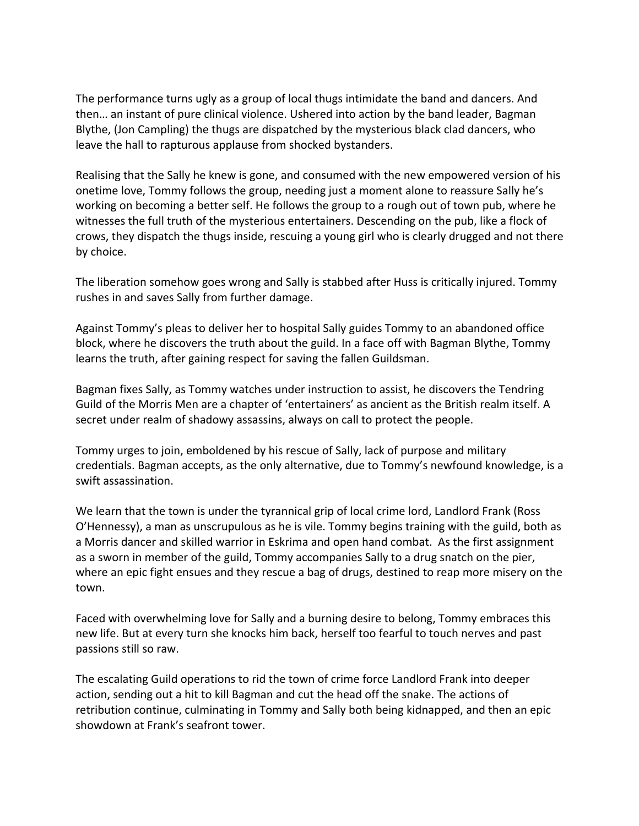The performance turns ugly as a group of local thugs intimidate the band and dancers. And then... an instant of pure clinical violence. Ushered into action by the band leader, Bagman Blythe, (Jon Campling) the thugs are dispatched by the mysterious black clad dancers, who leave the hall to rapturous applause from shocked bystanders.

Realising that the Sally he knew is gone, and consumed with the new empowered version of his onetime love, Tommy follows the group, needing just a moment alone to reassure Sally he's working on becoming a better self. He follows the group to a rough out of town pub, where he witnesses the full truth of the mysterious entertainers. Descending on the pub, like a flock of crows, they dispatch the thugs inside, rescuing a young girl who is clearly drugged and not there by choice.

The liberation somehow goes wrong and Sally is stabbed after Huss is critically injured. Tommy rushes in and saves Sally from further damage.

Against Tommy's pleas to deliver her to hospital Sally guides Tommy to an abandoned office block, where he discovers the truth about the guild. In a face off with Bagman Blythe, Tommy learns the truth, after gaining respect for saving the fallen Guildsman.

Bagman fixes Sally, as Tommy watches under instruction to assist, he discovers the Tendring Guild of the Morris Men are a chapter of 'entertainers' as ancient as the British realm itself. A secret under realm of shadowy assassins, always on call to protect the people.

Tommy urges to join, emboldened by his rescue of Sally, lack of purpose and military credentials. Bagman accepts, as the only alternative, due to Tommy's newfound knowledge, is a swift assassination.

We learn that the town is under the tyrannical grip of local crime lord, Landlord Frank (Ross O'Hennessy), a man as unscrupulous as he is vile. Tommy begins training with the guild, both as a Morris dancer and skilled warrior in Eskrima and open hand combat. As the first assignment as a sworn in member of the guild, Tommy accompanies Sally to a drug snatch on the pier, where an epic fight ensues and they rescue a bag of drugs, destined to reap more misery on the town.

Faced with overwhelming love for Sally and a burning desire to belong, Tommy embraces this new life. But at every turn she knocks him back, herself too fearful to touch nerves and past passions still so raw.

The escalating Guild operations to rid the town of crime force Landlord Frank into deeper action, sending out a hit to kill Bagman and cut the head off the snake. The actions of retribution continue, culminating in Tommy and Sally both being kidnapped, and then an epic showdown at Frank's seafront tower.